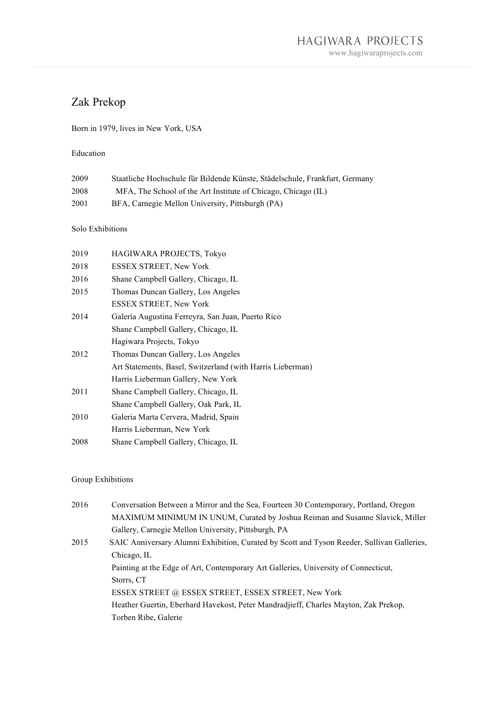# Zak Prekop

## Born in 1979, lives in New York, USA

#### Education

| 2009 | Staatliche Hochschule für Bildende Künste, Städelschule, Frankfurt, Germany |
|------|-----------------------------------------------------------------------------|
| 2008 | MFA, The School of the Art Institute of Chicago, Chicago (IL)               |
| 2001 | BFA, Carnegie Mellon University, Pittsburgh (PA)                            |

### Solo Exhibitions

| 2019 | HAGIWARA PROJECTS, Tokyo                                   |
|------|------------------------------------------------------------|
| 2018 | <b>ESSEX STREET, New York</b>                              |
| 2016 | Shane Campbell Gallery, Chicago, IL                        |
| 2015 | Thomas Duncan Gallery, Los Angeles                         |
|      | ESSEX STREET, New York                                     |
| 2014 | Galería Augustina Ferreyra, San Juan, Puerto Rico          |
|      | Shane Campbell Gallery, Chicago, IL                        |
|      | Hagiwara Projects, Tokyo                                   |
| 2012 | Thomas Duncan Gallery, Los Angeles                         |
|      | Art Statements, Basel, Switzerland (with Harris Lieberman) |
|      | Harris Lieberman Gallery, New York                         |
| 2011 | Shane Campbell Gallery, Chicago, IL                        |
|      | Shane Campbell Gallery, Oak Park, IL                       |
| 2010 | Galeria Marta Cervera, Madrid, Spain                       |
|      | Harris Lieberman, New York                                 |
| 2008 | Shane Campbell Gallery, Chicago, IL                        |
|      |                                                            |

#### Group Exhibitions

| 2016 | Conversation Between a Mirror and the Sea, Fourteen 30 Contemporary, Portland, Oregon      |
|------|--------------------------------------------------------------------------------------------|
|      | MAXIMUM MINIMUM IN UNUM, Curated by Joshua Reiman and Susanne Slavick, Miller              |
|      | Gallery, Carnegie Mellon University, Pittsburgh, PA                                        |
| 2015 | SAIC Anniversary Alumni Exhibition, Curated by Scott and Tyson Reeder, Sullivan Galleries, |
|      | Chicago, IL                                                                                |
|      | Painting at the Edge of Art, Contemporary Art Galleries, University of Connecticut,        |
|      | Storrs, CT                                                                                 |
|      | ESSEX STREET @ ESSEX STREET, ESSEX STREET, New York                                        |
|      | Heather Guertin, Eberhard Havekost, Peter Mandradjieff, Charles Mayton, Zak Prekop,        |
|      | Torben Ribe, Galerie                                                                       |
|      |                                                                                            |